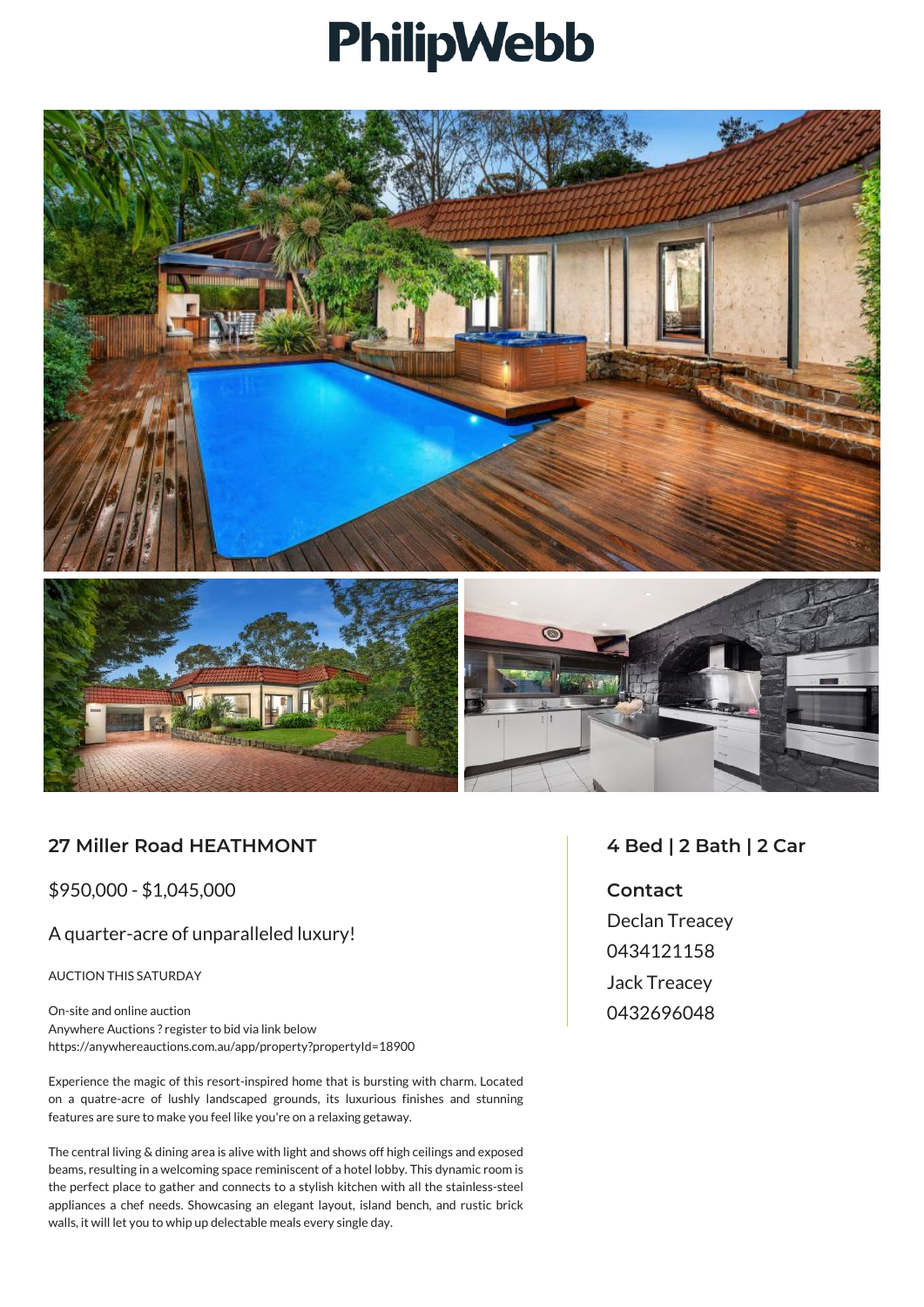## PhilipWebb



## **27 Miller Road HEATHMONT**

\$950,000 - \$1,045,000

## A quarter-acre of unparalleled luxury!

AUCTION THIS SATURDAY

On-site and online auction Anywhere Auctions ? register to bid via link below https://anywhereauctions.com.au/app/property?propertyId=18900

Experience the magic of this resort-inspired home that is bursting with charm. Located on a quatre-acre of lushly landscaped grounds, its luxurious finishes and stunning features are sure to make you feel like you're on a relaxing getaway.

The central living & dining area is alive with light and shows off high ceilings and exposed beams, resulting in a welcoming space reminiscent of a hotel lobby. This dynamic room is the perfect place to gather and connects to a stylish kitchen with all the stainless-steel appliances a chef needs. Showcasing an elegant layout, island bench, and rustic brick walls, it will let you to whip up delectable meals every single day.

## **4 Bed | 2 Bath | 2 Car**

**Contact** Declan Treacey 0434121158 Jack Treacey 0432696048